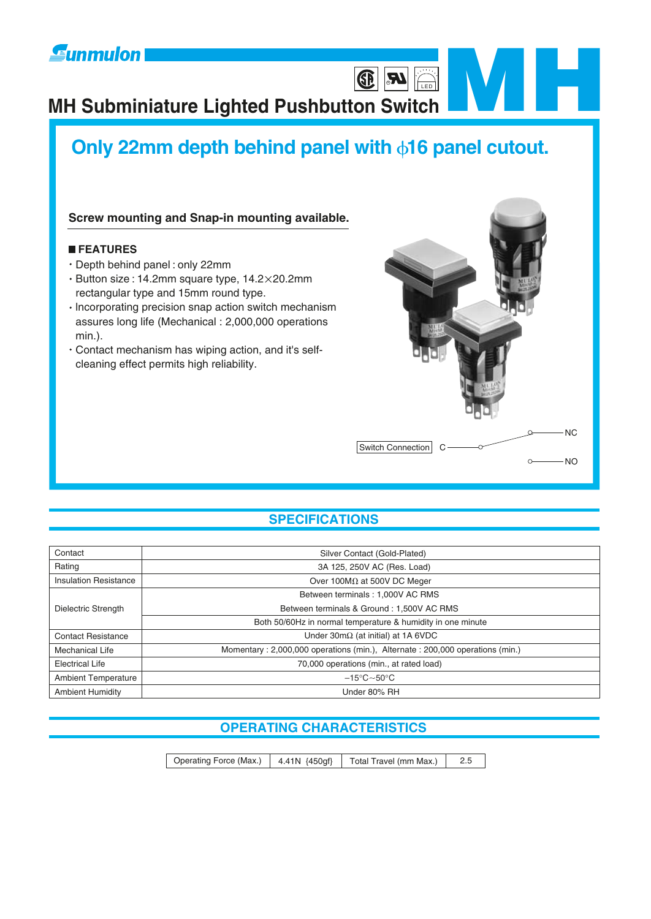# **Eunmulon**

# **MH Subminiature Lighted Pushbutton Switch [MH](http://www.sunmulon.co.jp/english/index.htm)**<br> **EXPLEMENT CONTROLLER**

# **Only 22mm depth behind panel with 16 panel cutout.**

### **Screw mounting and Snap-in mounting available.**

#### **FEATURES**

- Depth behind panel : only 22mm
- Button size : 14.2mm square type, 14.2 20.2mm rectangular type and 15mm round type.
- $\cdot$  Incorporating precision snap action switch mechanism assures long life (Mechanical : 2,000,000 operations min.).
- Contact mechanism has wiping action, and it's selfcleaning effect permits high reliability.



**LED** 

Ð

# **SPECIFICATIONS**

| Contact                                                                                         | Silver Contact (Gold-Plated)                                |  |  |  |
|-------------------------------------------------------------------------------------------------|-------------------------------------------------------------|--|--|--|
| Rating<br>3A 125, 250V AC (Res. Load)                                                           |                                                             |  |  |  |
| <b>Insulation Resistance</b>                                                                    | Over 100M $\Omega$ at 500V DC Meger                         |  |  |  |
|                                                                                                 | Between terminals: 1,000V AC RMS                            |  |  |  |
| Dielectric Strength                                                                             | Between terminals & Ground: 1,500V AC RMS                   |  |  |  |
|                                                                                                 | Both 50/60Hz in normal temperature & humidity in one minute |  |  |  |
| Under $30 \text{m}\Omega$ (at initial) at 1A 6VDC<br><b>Contact Resistance</b>                  |                                                             |  |  |  |
| Momentary: 2,000,000 operations (min.), Alternate: 200,000 operations (min.)<br>Mechanical Life |                                                             |  |  |  |
| 70,000 operations (min., at rated load)<br>Electrical Life                                      |                                                             |  |  |  |
| $-15^{\circ}$ C $\sim$ 50 $^{\circ}$ C<br><b>Ambient Temperature</b>                            |                                                             |  |  |  |
| <b>Ambient Humidity</b><br>Under 80% RH                                                         |                                                             |  |  |  |

# **OPERATING CHARACTERISTICS**

Operating Force (Max.) 4.41N {450gf} Total Travel (mm Max.) 2.5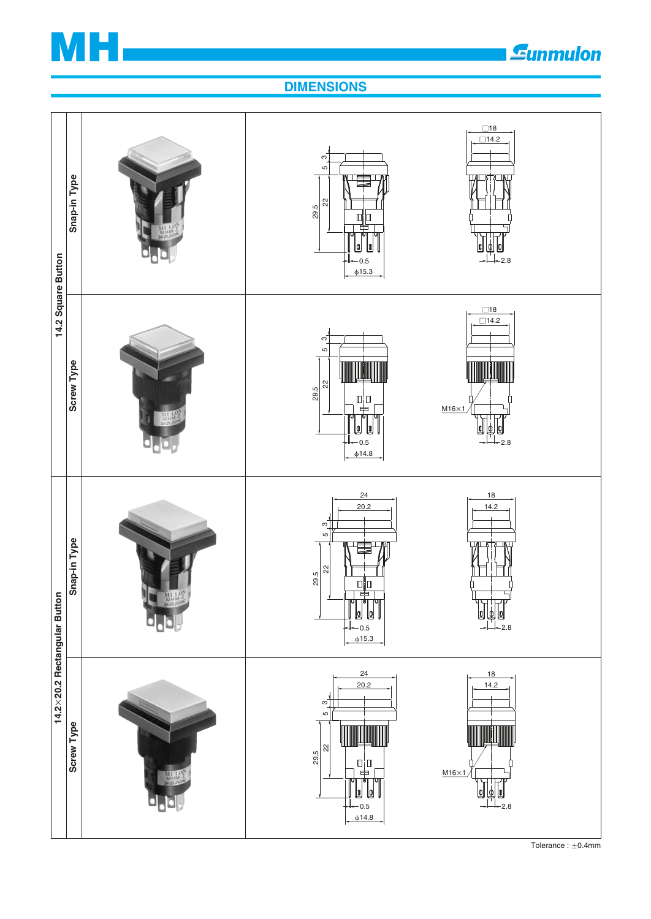

# *<u>Eunmulon</u>*

# **DIMENSIONS**



Tolerance :  $\pm$ 0.4mm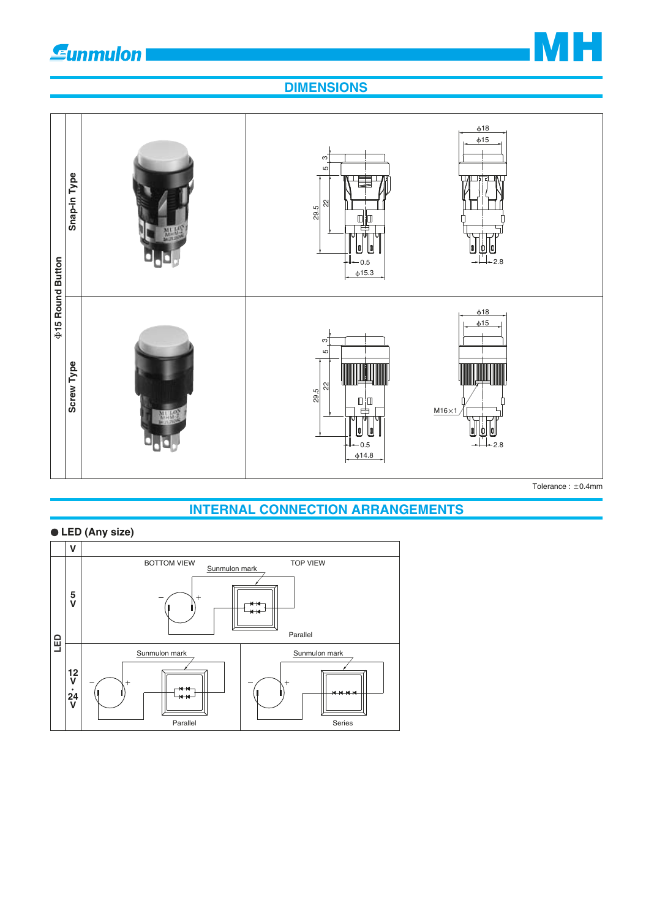# **Sunmulon**

# **MH**

# **DIMENSIONS**



# **INTERNAL CONNECTION ARRANGEMENTS**

### **LED (Any size)**



Tolerance :  $\pm$ 0.4mm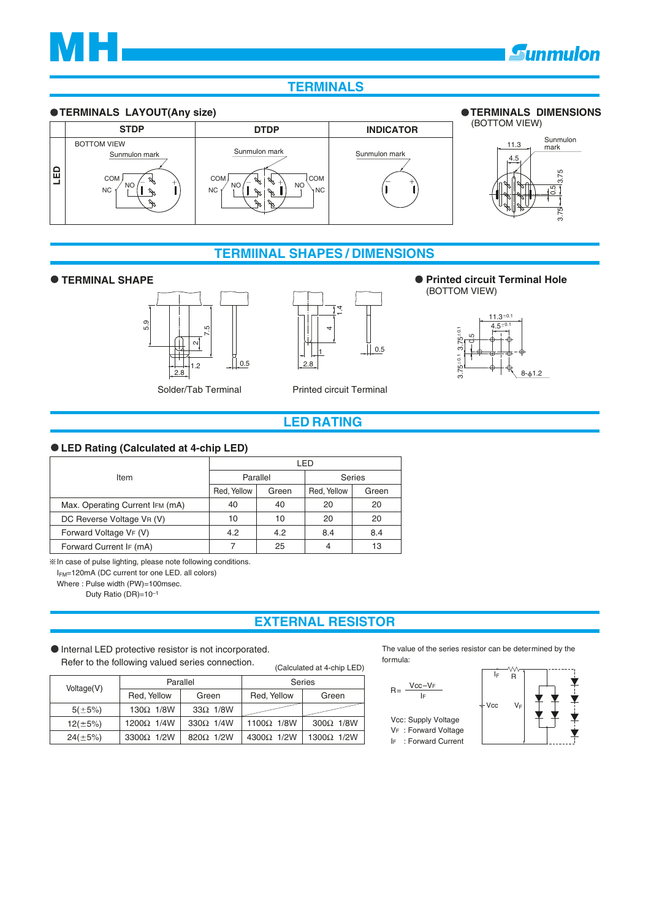

# **Gunmulon**

### **TERMINALS**



### **TERMlINAL SHAPES / DIMENSIONS**





Solder/Tab Terminal Printed circuit Terminal

#### ● TERMINAL SHAPE **● TERMINAL SHAPE** (BOTTOM VIEW)



### **LED RATING**

#### **LED Rating (CaIculated at 4-chip LED)**

|                                 | _ED         |       |               |       |  |
|---------------------------------|-------------|-------|---------------|-------|--|
| Item                            | Parallel    |       | <b>Series</b> |       |  |
|                                 | Red, Yellow | Green | Red, Yellow   | Green |  |
| Max. Operating Current IFM (mA) | 40          | 40    | 20            | 20    |  |
| DC Reverse Voltage VR (V)       | 10          | 10    | 20            | 20    |  |
| Forward Voltage VF (V)          | 4.2         | 4.2   | 8.4           | 8.4   |  |
| Forward Current IF (mA)         |             | 25    | 4             | 13    |  |

 $%$  In case of pulse lighting, please note following conditions.

IFM=120mA (DC current tor one LED. all colors)

Where : Pulse width (PW)=100msec.

Duty Ratio (DR)=10–1

# **EXTERNAL RESISTOR**

Internal LED protective resistor is not incorporated. Refer to the following valued series connection.

The value of the series resistor can be determined by the formula:

|               | Hefer to the following valued series connection. |                   |                   | (Calculated at 4-chip LED) | <u>ivi illulu.</u>                          |       |    |
|---------------|--------------------------------------------------|-------------------|-------------------|----------------------------|---------------------------------------------|-------|----|
| Voltage(V)    |                                                  | Parallel          |                   | Series                     |                                             |       | 1p |
|               | Red, Yellow                                      | Green             | Red, Yellow       | Green                      | $R = \frac{Vcc - VF}{IF}$                   |       |    |
| $5(\pm 5\%)$  | $130\Omega$ 1/8W                                 | $33\Omega$ 1/8W   |                   |                            |                                             | ≑ Vcc |    |
| $12(\pm 5\%)$ | $1200\Omega$ 1/4W                                | 330 $\Omega$ 1/4W | $1100\Omega$ 1/8W | $300\Omega$ 1/8W           | Vcc: Supply Voltage<br>VF : Forward Voltage |       |    |
| $24(\pm 5\%)$ | 3300Ω 1/2W                                       | 820 $\Omega$ 1/2W | $4300\Omega$ 1/2W | 1300 $\Omega$ 1/2W         | IF: Forward Current                         |       |    |

 $V_{E}$ Vcc: Supply Voltage VF : Forward Voltage  $R = \frac{Vcc - VF}{Vc}$ 

IF : Forward Current

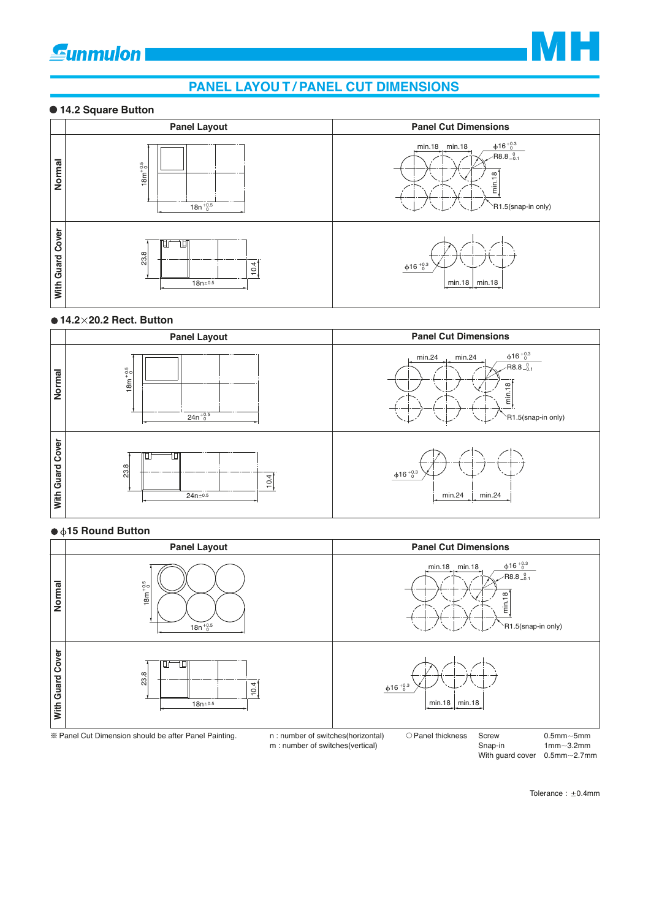# **gunmulon**



# **PANEL LAYOU T / PANEL CUT DIMENSIONS**

#### **14.2 Square Button**



#### **14.2 20.2 Rect. Button**



#### ● **615 Round Button**

|                        | <b>Panel Layout</b>                                                                         | <b>Panel Cut Dimensions</b>                                                                       |
|------------------------|---------------------------------------------------------------------------------------------|---------------------------------------------------------------------------------------------------|
| Normal                 | $18m^{+0.5}_{0}$<br>$18n^{+0.5}_{0}$                                                        | $\phi$ 16 <sup>+0.3</sup><br>min.18 min.18<br>$-R8.8_{-0.1}^{0}$<br>min.18<br>`R1.5(snap-in only) |
| Cover<br>Guard<br>With | 23.8<br>4<br>$\circ$<br>$\mathbf$<br>$18n + 0.5$                                            | $\varphi 16~^{+0.3}_{-0}$<br>min.18 $\mid$ min.18                                                 |
|                        | * Panel Cut Dimension should be after Panel Painting.<br>n : number of switches(horizontal) | O Panel thickness<br>Screw<br>$0.5$ mm $\sim$ 5mm                                                 |

m : number of switches(vertical)

Snap-in With guard cover  $0.5$ mm $\sim$ 2.7mm  $1mm - 3.2mm$ 

Tolerance :  $\pm$ 0.4mm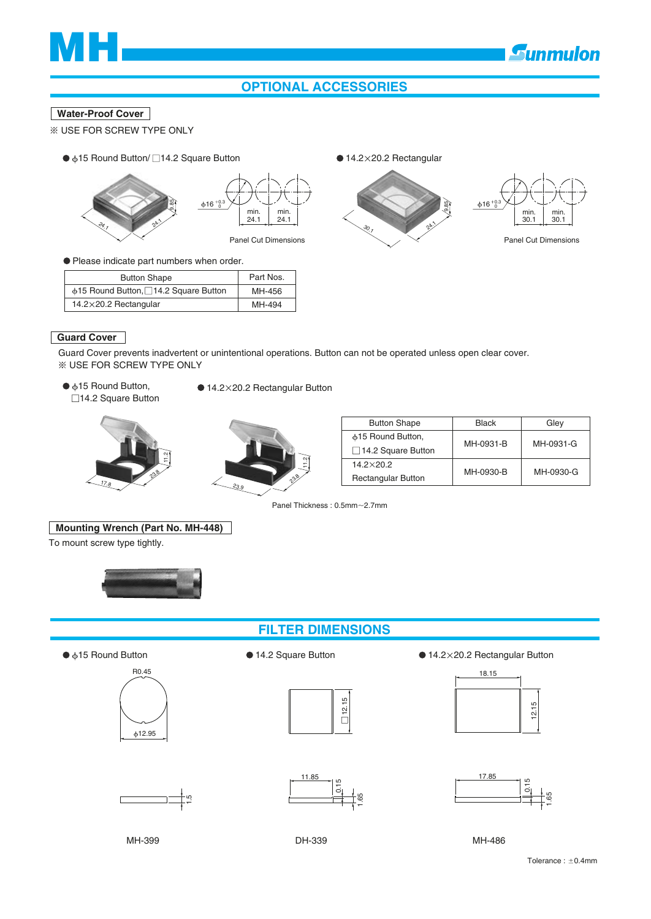

# **OPTIONAL ACCESSORIES**

#### **Water-Proof Cover**

- USE FOR SCREW TYPE ONLY
	- $\phi$ 15 Round Button/ □ 14.2 Square Button





#### Please indicate part numbers when order.

| <b>Button Shape</b>                        | Part Nos. |
|--------------------------------------------|-----------|
| $\phi$ 15 Round Button, 14.2 Square Button | MH-456    |
| $14.2\times20.2$ Rectangular               | MH-494    |

 $\bullet$  14.2×20.2 Rectangular



#### **Guard Cover**

Guard Cover prevents inadvertent or unintentional operations. Button can not be operated unless open clear cover. USE FOR SCREW TYPE ONLY

●  $615$  Round Button, □14.2 Square Button ● 14.2×20.2 Rectangular Button





|        |               | <b>Button Shape</b>       | <b>Black</b> | Glev      |
|--------|---------------|---------------------------|--------------|-----------|
|        |               | ⊕15 Round Button,         | MH-0931-B    | MH-0931-G |
| $\sim$ |               | $\Box$ 14.2 Square Button |              |           |
|        | ω,            | $14.2 \times 20.2$        |              |           |
| 23     | 239<br>$\sim$ | <b>Rectangular Button</b> | MH-0930-B    | MH-0930-G |

Panel Thickness : 0.5mm~2.7mm

#### **Mounting Wrench (Part No. MH-448)**

To mount screw type tightly.



### **FILTER DIMENSIONS**





●  $\phi$ **15 Round Button** 14.2 Square Button ● 14.2 ×20.2 Rectangular Button







5. $\overline{\phantom{a}}$ 

11.85

56. $\mathbf -$ 

<u>بہ</u>